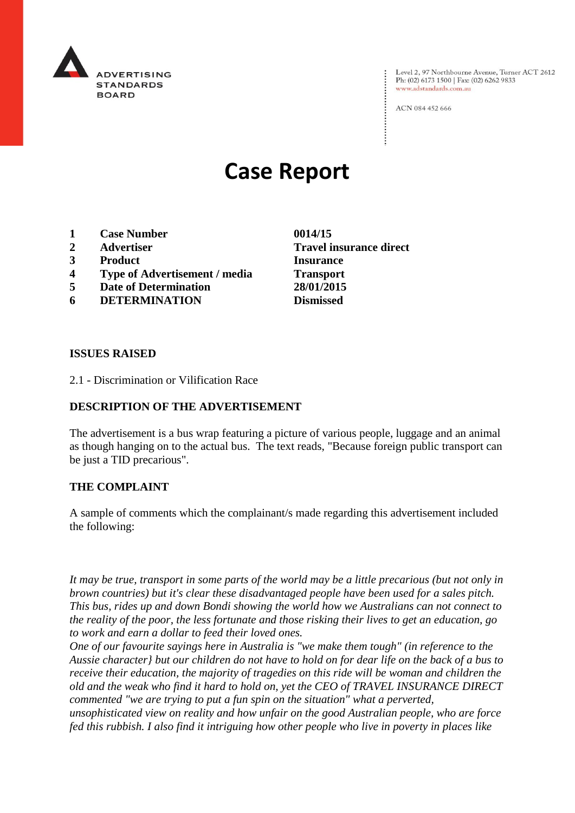

Level 2, 97 Northbourne Avenue, Turner ACT 2612 Ph: (02) 6173 1500 | Fax: (02) 6262 9833 www.adstandards.com.au

ACN 084 452 666

# **Case Report**

- **1 Case Number 0014/15**
- **2 Advertiser Travel insurance direct**
- **3 Product Insurance**
- **4 Type of Advertisement / media Transport**
- **5 Date of Determination 28/01/2015**
- **6 DETERMINATION Dismissed**

**ISSUES RAISED**

2.1 - Discrimination or Vilification Race

#### **DESCRIPTION OF THE ADVERTISEMENT**

The advertisement is a bus wrap featuring a picture of various people, luggage and an animal as though hanging on to the actual bus. The text reads, "Because foreign public transport can be just a TID precarious".

#### **THE COMPLAINT**

A sample of comments which the complainant/s made regarding this advertisement included the following:

*It may be true, transport in some parts of the world may be a little precarious (but not only in brown countries) but it's clear these disadvantaged people have been used for a sales pitch. This bus, rides up and down Bondi showing the world how we Australians can not connect to the reality of the poor, the less fortunate and those risking their lives to get an education, go to work and earn a dollar to feed their loved ones.*

*One of our favourite sayings here in Australia is "we make them tough" (in reference to the Aussie character} but our children do not have to hold on for dear life on the back of a bus to receive their education, the majority of tragedies on this ride will be woman and children the old and the weak who find it hard to hold on, yet the CEO of TRAVEL INSURANCE DIRECT commented "we are trying to put a fun spin on the situation" what a perverted, unsophisticated view on reality and how unfair on the good Australian people, who are force fed this rubbish. I also find it intriguing how other people who live in poverty in places like*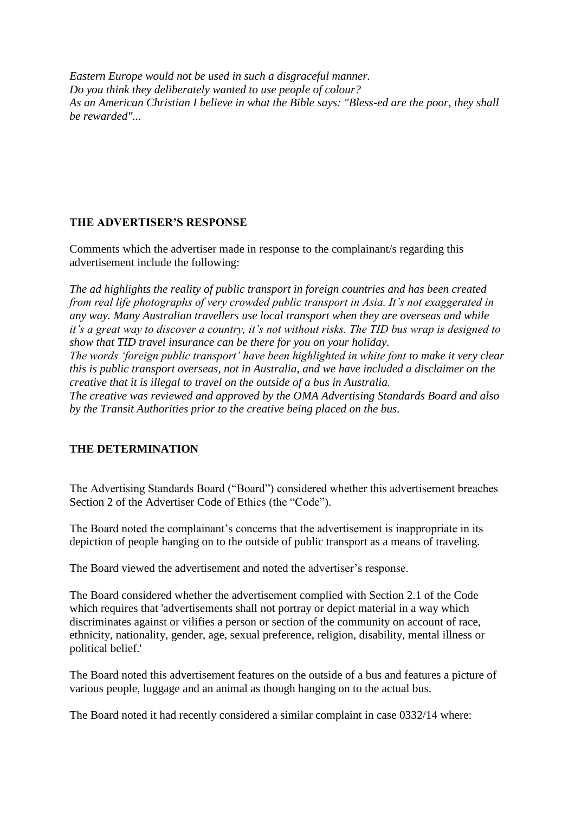*Eastern Europe would not be used in such a disgraceful manner. Do you think they deliberately wanted to use people of colour? As an American Christian I believe in what the Bible says: "Bless-ed are the poor, they shall be rewarded"...*

### **THE ADVERTISER'S RESPONSE**

Comments which the advertiser made in response to the complainant/s regarding this advertisement include the following:

*The ad highlights the reality of public transport in foreign countries and has been created from real life photographs of very crowded public transport in Asia. It's not exaggerated in any way. Many Australian travellers use local transport when they are overseas and while it's a great way to discover a country, it's not without risks. The TID bus wrap is designed to show that TID travel insurance can be there for you on your holiday. The words 'foreign public transport' have been highlighted in white font to make it very clear this is public transport overseas, not in Australia, and we have included a disclaimer on the creative that it is illegal to travel on the outside of a bus in Australia. The creative was reviewed and approved by the OMA Advertising Standards Board and also by the Transit Authorities prior to the creative being placed on the bus.*

## **THE DETERMINATION**

The Advertising Standards Board ("Board") considered whether this advertisement breaches Section 2 of the Advertiser Code of Ethics (the "Code").

The Board noted the complainant's concerns that the advertisement is inappropriate in its depiction of people hanging on to the outside of public transport as a means of traveling.

The Board viewed the advertisement and noted the advertiser's response.

The Board considered whether the advertisement complied with Section 2.1 of the Code which requires that 'advertisements shall not portray or depict material in a way which discriminates against or vilifies a person or section of the community on account of race, ethnicity, nationality, gender, age, sexual preference, religion, disability, mental illness or political belief.'

The Board noted this advertisement features on the outside of a bus and features a picture of various people, luggage and an animal as though hanging on to the actual bus.

The Board noted it had recently considered a similar complaint in case 0332/14 where: